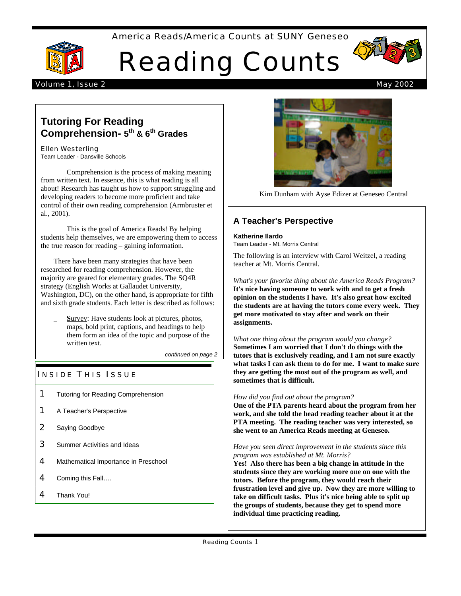#### America Reads/America Counts at SUNY Geneseo



# Reading Counts



#### Volume 1, Issue 2 May 2002

## **Tutoring For Reading Comprehension- 5 th & 6th Grades**

#### Ellen Westerling

Team Leader - Dansville Schools

Comprehension is the process of making meaning from written text. In essence, this is what reading is all about! Research has taught us how to support struggling and developing readers to become more proficient and take control of their own reading comprehension (Armbruster et al., 2001).

This is the goal of America Reads! By helping students help themselves, we are empowering them to access the true reason for reading – gaining information.

There have been many strategies that have been researched for reading comprehension. However, the majority are geared for elementary grades. The SQ4R strategy (English Works at Gallaudet University, Washington, DC), on the other hand, is appropriate for fifth and sixth grade students. Each letter is described as follows:

Survey: Have students look at pictures, photos, maps, bold print, captions, and headings to help them form an idea of the topic and purpose of the written text.

*continued on page 2*

## **INSIDE THIS ISSUE**

- **1** Tutoring for Reading Comprehension
- 1 A Teacher's Perspective
- 2 Saying Goodbye
- **3** Summer Activities and Ideas
- 4 Mathematical Importance in Preschool
- 4 Coming this Fall....
- 4 Thank You!



Kim Dunham with Ayse Edizer at Geneseo Central

### **A Teacher's Perspective**

**Katherine Ilardo** Team Leader - Mt. Morris Central

The following is an interview with Carol Weitzel, a reading teacher at Mt. Morris Central.

*What's your favorite thing about the America Reads Program?* **It's nice having someone to work with and to get a fresh opinion on the students I have. It's also great how excited the students are at having the tutors come every week. They get more motivated to stay after and work on their assignments.**

*What one thing about the program would you change?* **Sometimes I am worried that I don't do things with the tutors that is exclusively reading, and I am not sure exactly what tasks I can ask them to do for me. I want to make sure they are getting the most out of the program as well, and sometimes that is difficult.** 

#### *How did you find out about the program?*

**One of the PTA parents heard about the program from her work, and she told the head reading teacher about it at the PTA meeting. The reading teacher was very interested, so she went to an America Reads meeting at Geneseo.**

#### *Have you seen direct improvement in the students since this program was established at Mt. Morris?*

**Yes! Also there has been a big change in attitude in the students since they are working more one on one with the tutors. Before the program, they would reach their frustration level and give up. Now they are more willing to take on difficult tasks. Plus it's nice being able to split up the groups of students, because they get to spend more individual time practicing reading.**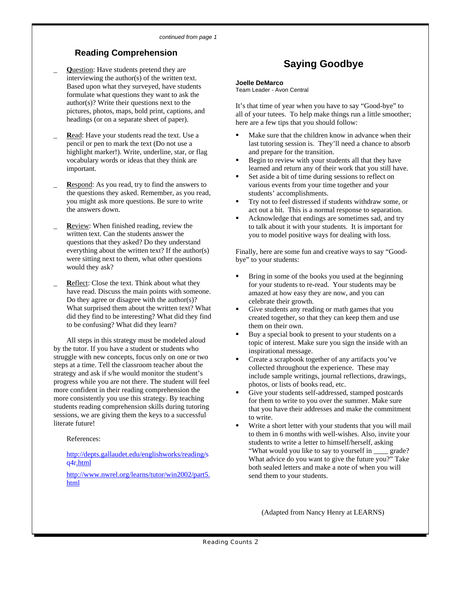## **Reading Comprehension**

- \_ **Q**uestion: Have students pretend they are interviewing the author(s) of the written text. Based upon what they surveyed, have students formulate what questions they want to ask the author(s)? Write their questions next to the pictures, photos, maps, bold print, captions, and headings (or on a separate sheet of paper).
- Read: Have your students read the text. Use a pencil or pen to mark the text (Do not use a highlight marker!). Write, underline, star, or flag vocabulary words or ideas that they think are important.
- Respond: As you read, try to find the answers to the questions they asked. Remember, as you read, you might ask more questions. Be sure to write the answers down.
- **Review:** When finished reading, review the written text. Can the students answer the questions that they asked? Do they understand everything about the written text? If the author(s) were sitting next to them, what other questions would they ask?
- **Reflect:** Close the text. Think about what they have read. Discuss the main points with someone. Do they agree or disagree with the author(s)? What surprised them about the written text? What did they find to be interesting? What did they find to be confusing? What did they learn?

All steps in this strategy must be modeled aloud by the tutor. If you have a student or students who struggle with new concepts, focus only on one or two steps at a time. Tell the classroom teacher about the strategy and ask if s/he would monitor the student's progress while you are not there. The student will feel more confident in their reading comprehension the more consistently you use this strategy. By teaching students reading comprehension skills during tutoring sessions, we are giving them the keys to a successful literate future!

References:

http://depts.gallaudet.edu/englishworks/reading/s q4r.html

http://www.nwrel.org/learns/tutor/win2002/part5. html

# **Saying Goodbye**

#### **Joelle DeMarco**

Team Leader - Avon Central

It's that time of year when you have to say "Good-bye" to all of your tutees. To help make things run a little smoother; here are a few tips that you should follow:

- Make sure that the children know in advance when their last tutoring session is. They'll need a chance to absorb and prepare for the transition.
- ß Begin to review with your students all that they have learned and return any of their work that you still have.
- ß Set aside a bit of time during sessions to reflect on various events from your time together and your students' accomplishments.
- ß Try not to feel distressed if students withdraw some, or act out a bit. This is a normal response to separation.
- ß Acknowledge that endings are sometimes sad, and try to talk about it with your students. It is important for you to model positive ways for dealing with loss.

Finally, here are some fun and creative ways to say "Goodbye" to your students:

- ß Bring in some of the books you used at the beginning for your students to re-read. Your students may be amazed at how easy they are now, and you can celebrate their growth.
- ß Give students any reading or math games that you created together, so that they can keep them and use them on their own.
- ß Buy a special book to present to your students on a topic of interest. Make sure you sign the inside with an inspirational message.
- ß Create a scrapbook together of any artifacts you've collected throughout the experience. These may include sample writings, journal reflections, drawings, photos, or lists of books read, etc.
- Give your students self-addressed, stamped postcards for them to write to you over the summer. Make sure that you have their addresses and make the commitment to write.
- ß Write a short letter with your students that you will mail to them in 6 months with well-wishes. Also, invite your students to write a letter to himself/herself, asking "What would you like to say to yourself in \_\_\_\_ grade? What advice do you want to give the future you?" Take both sealed letters and make a note of when you will send them to your students.

(Adapted from Nancy Henry at LEARNS)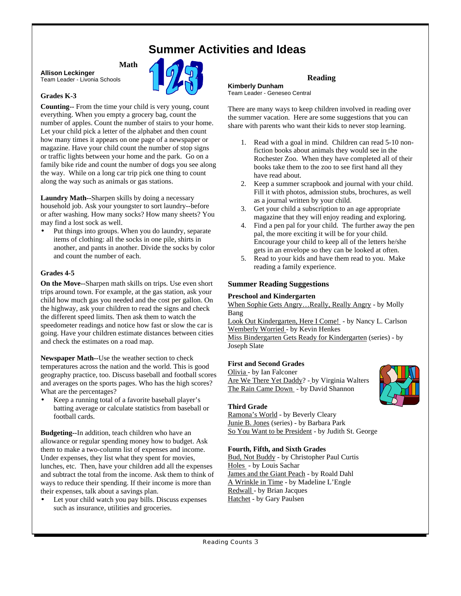# **Summer Activities and Ideas**

## **Math**

**Allison Leckinger** Team Leader - Livonia Schools

#### **Grades K-3**

**Counting--** From the time your child is very young, count everything. When you empty a grocery bag, count the number of apples. Count the number of stairs to your home. Let your child pick a letter of the alphabet and then count how many times it appears on one page of a newspaper or magazine. Have your child count the number of stop signs or traffic lights between your home and the park. Go on a family bike ride and count the number of dogs you see along the way. While on a long car trip pick one thing to count along the way such as animals or gas stations.

**Laundry Math--**Sharpen skills by doing a necessary household job. Ask your youngster to sort laundry--before or after washing. How many socks? How many sheets? You may find a lost sock as well.

Put things into groups. When you do laundry, separate items of clothing: all the socks in one pile, shirts in another, and pants in another. Divide the socks by color and count the number of each.

#### **Grades 4-5**

**On the Move--**Sharpen math skills on trips. Use even short trips around town. For example, at the gas station, ask your child how much gas you needed and the cost per gallon. On the highway, ask your children to read the signs and check the different speed limits. Then ask them to watch the speedometer readings and notice how fast or slow the car is going. Have your children estimate distances between cities and check the estimates on a road map.

**Newspaper Math--**Use the weather section to check temperatures across the nation and the world. This is good geography practice, too. Discuss baseball and football scores and averages on the sports pages. Who has the high scores? What are the percentages?

• Keep a running total of a favorite baseball player's batting average or calculate statistics from baseball or football cards.

**Budgeting--**In addition, teach children who have an allowance or regular spending money how to budget. Ask them to make a two-column list of expenses and income. Under expenses, they list what they spent for movies, lunches, etc. Then, have your children add all the expenses and subtract the total from the income. Ask them to think of ways to reduce their spending. If their income is more than their expenses, talk about a savings plan.

Let your child watch you pay bills. Discuss expenses such as insurance, utilities and groceries.

#### **Reading Kimberly Dunham** Team Leader - Geneseo Central

There are many ways to keep children involved in reading over the summer vacation. Here are some suggestions that you can share with parents who want their kids to never stop learning.

- 1. Read with a goal in mind. Children can read 5-10 nonfiction books about animals they would see in the Rochester Zoo. When they have completed all of their books take them to the zoo to see first hand all they have read about.
- 2. Keep a summer scrapbook and journal with your child. Fill it with photos, admission stubs, brochures, as well as a journal written by your child.
- 3. Get your child a subscription to an age appropriate magazine that they will enjoy reading and exploring.
- 4. Find a pen pal for your child. The further away the pen pal, the more exciting it will be for your child. Encourage your child to keep all of the letters he/she gets in an envelope so they can be looked at often.
- 5. Read to your kids and have them read to you. Make reading a family experience.

#### **Summer Reading Suggestions**

#### **Preschool and Kindergarten**

When Sophie Gets Angry…Really, Really Angry - by Molly Bang

Look Out Kindergarten, Here I Come! - by Nancy L. Carlson Wemberly Worried - by Kevin Henkes

Miss Bindergarten Gets Ready for Kindergarten (series) - by Joseph Slate

#### **First and Second Grades**

Olivia - by Ian Falconer Are We There Yet Daddy? - by Virginia Walters The Rain Came Down - by David Shannon



#### **Third Grade**

Ramona's World - by Beverly Cleary Junie B. Jones (series) - by Barbara Park So You Want to be President - by Judith St. George

#### **Fourth, Fifth, and Sixth Grades**

Bud, Not Buddy - by Christopher Paul Curtis Holes - by Louis Sachar James and the Giant Peach - by Roald Dahl A Wrinkle in Time - by Madeline L'Engle Redwall - by Brian Jacques Hatchet - by Gary Paulsen